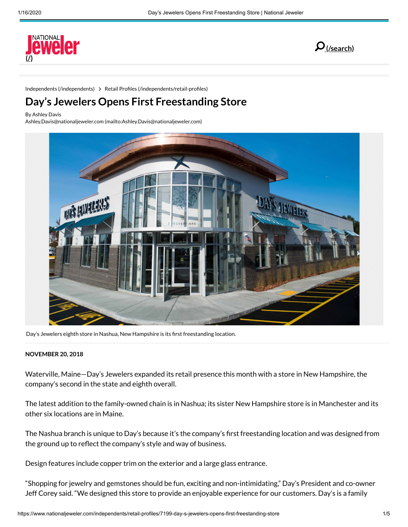



Independents [\(/independents\)](https://www.nationaljeweler.com/independents) > Retail Profiles (/independents/retail-profiles)

# **Day's Jewelers Opens First Freestanding Store**

By Ashley Davis

Ashley.Davis@nationaljeweler.com [\(mailto:Ashley.Davis@nationaljeweler.com\)](mailto:Ashley.Davis@nationaljeweler.com)



Day's Jewelers eighth store in Nashua, New Hampshire is its first freestanding location.

#### **NOVEMBER 20, 2018**

Waterville, Maine—Day's Jewelers expanded its retail presence this month with a store in New Hampshire, the company's second in the state and eighth overall.

The latest addition to the family-owned chain is in Nashua; its sister New Hampshire store is in Manchester and its other six locations are in Maine.

The Nashua branch is unique to Day's because it's the company's first freestanding location and was designed from the ground up to reflect the company's style and way of business.

Design features include copper trim on the exterior and a large glass entrance.

"Shopping for jewelry and gemstones should be fun, exciting and non-intimidating," Day's President and co-owner Jeff Corey said. "We designed this store to provide an enjoyable experience for our customers. Day's is a family